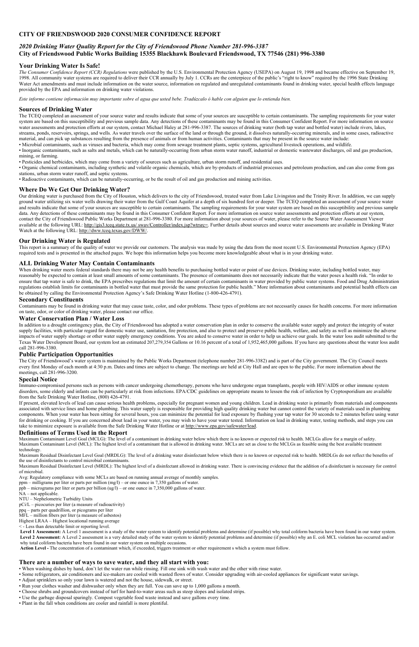# **CITY OF FRIENDSWOOD 2020 CONSUMER CONFIDENCE REPORT**

# *2020 Drinking Water Quality Report for the City of Friendswood Phone Number 281-996-3387* **City of Friendswood Public Works Building 15355 Blackhawk Boulevard Friendswood, TX 77546 (281) 996-3380**

## **Your Drinking Water Is Safe!**

*The Consumer Confidence Report (CCR) Regulations* were published by the U.S. Environmental Protection Agency (USEPA) on August 19, 1998 and became effective on September 19, 1998. All community water systems are required to deliver their CCR annually by July 1. CCRs are the centerpiece of the public's "right to know" required by the 1996 State Drinking Water Act amendments and must include information on the water source, information on regulated and unregulated contaminants found in drinking water, special health effects language provided by the EPA and information on drinking water violations.

*Este informe contiene información muy importante sobre el agua que usted bebe. Tradúzcalo ó hable con alguien que lo entienda bien.* 

### **Sources of Drinking Water**

The TCEQ completed an assessment of your source water and results indicate that some of your sources are susceptible to certain contaminants. The sampling requirements for your water system are based on this susceptibility and previous sample data. Any detections of these contaminants may be found in this Consumer Confident Report. For more information on source water assessments and protection efforts at our system, contact Michael Haley at 281-996-3387. The sources of drinking water (both tap water and bottled water) include rivers, lakes, streams, ponds, reservoirs, springs, and wells. As water travels over the surface of the land or through the ground, it dissolves naturally-occurring minerals, and in some cases, radioactive material, and can pick up substances resulting from the presence of animals or from human activities. Contaminants that may be present in the source water include:

• Microbial contaminants, such as viruses and bacteria, which may come from sewage treatment plants, septic systems, agricultural livestock operations, and wildlife.

• Inorganic contaminants, such as salts and metals, which can be naturally-occurring from urban storm water runoff, industrial or domestic wastewater discharges, oil and gas production, mining, or farming.

• Pesticides and herbicides, which may come from a variety of sources such as agriculture, urban storm runoff, and residential uses.

• Organic chemical contaminants, including synthetic and volatile organic chemicals, which are by-products of industrial processes and petroleum production, and can also come from gas stations, urban storm water runoff, and septic systems.

When drinking water meets federal standards there may not be any health benefits to purchasing bottled water or point of use devices. Drinking water, including bottled water, may reasonably be expected to contain at least small amounts of some contaminants. The presence of contaminants does not necessarily indicate that the water poses a health risk. "In order to ensure that tap water is safe to drink, the EPA prescribes regulations that limit the amount of certain contaminants in water provided by public water systems. Food and Drug Administration regulations establish limits for contaminants in bottled water that must provide the same protection for public health." More information about contaminants and potential health effects can be obtained by calling the Environmental Protection Agency's Safe Drinking Water Hotline (1-800-426-4791).

• Radioactive contaminants, which can be naturally-occurring, or be the result of oil and gas production and mining activities.

## **Where Do We Get Our Drinking Water?**

Our drinking water is purchased from the City of Houston, which delivers to the city of Friendswood, treated water from Lake Livingston and the Trinity River. In addition, we can supply ground water utilizing six water wells drawing their water from the Gulf Coast Aquifer at a depth of six hundred feet or deeper. The TCEQ completed an assessment of your source water and results indicate that some of your sources are susceptible to certain contaminants. The sampling requirements for your water system are based on this susceptibility and previous sample data. Any detections of these contaminants may be found in this Consumer Confident Report. For more information on source water assessments and protection efforts at our system, contact the City of Friendswood Public Works Department at 281-996-3380. For more information about your sources of water, please refer to the Source Water Assessment Viewer available at the following URL: http://gis3.tceq.state.tx.us/ swav/Controller/index.jsp?wtrsrc=. Further details about sources and source water assessments are available in Drinking Water Watch at the following URL: http://dww.tceq.texas.gov/DWW/.

If present, elevated levels of lead can cause serious health problems, especially for pregnant women and young children. Lead in drinking water is primarily from materials and components associated with service lines and home plumbing. This water supply is responsible for providing high quality drinking water but cannot control the variety of materials used in plumbing components. When your water has been sitting for several hours, you can minimize the potential for lead exposure by flushing your tap water for 30 seconds to 2 minutes before using water for drinking or cooking. If you are concerned about lead in your water, you may wish to have your water tested. Information on lead in drinking water, testing methods, and steps you can take to minimize exposure is available from the Safe Drinking Water Hotline or at http://www.epa.gov/safewater/lead.

### **Our Drinking Water is Regulated**

This report is a summary of the quality of water we provide our customers. The analysis was made by using the data from the most recent U.S. Environmental Protection Agency (EPA) required tests and is presented in the attached pages. We hope this information helps you become more knowledgeable about what is in your drinking water.

### **ALL Drinking Water May Contain Contaminants**

Level 1 Assessment: A Level 1 assessment is a study of the water system to identify potential problems and determine (if possible) why total coliform bacteria have been found in our water system. Level 2 Assessment: A Level 2 assessment is a very detailed study of the water system to identify potential problems and determine (if possible) why an E. coli MCL violation has occurred and/or why total coliform bacteria have been found in our water system on multiple occasions.

### **Secondary Constituents**

Contaminants may be found in drinking water that may cause taste, color, and odor problems. These types of problems are not necessarily causes for health concerns. For more information on taste, odor, or color of drinking water, please contact our office.

### **Water Conservation Plan / Water Loss**

In addition to a drought contingency plan, the City of Friendswood has adopted a water conservation plan in order to conserve the available water supply and protect the integrity of water supply facilities, with particular regard for domestic water use, sanitation, fire protection, and also to protect and preserve public health, welfare, and safety as well as minimize the adverse impacts of water supply shortage or other water supply emergency conditions. You are asked to conserve water in order to help us achieve our goals. In the water loss audit submitted to the Texas Water Development Board, our system lost an estimated 207,279,354 Gallons or 10.16 percent of a total of 1,952,465,000 gallons. If you have any questions about the water loss audit call 281-996-3380.

### **Public Participation Opportunities**

The City of Friendswood's water system is maintained by the Public Works Department (telephone number 281-996-3382) and is part of the City government. The City Council meets every first Monday of each month at 4:30 p.m. Dates and times are subject to change. The meetings are held at City Hall and are open to the public. For more information about the meetings, call 281-996-3200.

### **Special Notice**

Immuno-compromised persons such as persons with cancer undergoing chemotherapy, persons who have undergone organ transplants, people with HIV/AIDS or other immune system disorders, some elderly and infants can be particularly at risk from infections. EPA/CDC guidelines on appropriate means to lessen the risk of infection by Cryptosporidium are available from the Safe Drinking Water Hotline, (800) 426-4791.

### **Definitions of Terms Used in the Report**

Maximum Contaminant Level Goal (MCLG): The level of a contaminant in drinking water below which there is no known or expected risk to health. MCLGs allow for a margin of safety. Maximum Contaminant Level (MCL): The highest level of a contaminant that is allowed in drinking water. MCLs are set as close to the MCLGs as feasible using the best available treatment technology.

Maximum Residual Disinfectant Level Goal (MRDLG): The level of a drinking water disinfectant below which there is no known or expected risk to health. MRDLGs do not reflect the benefits of the use of disinfectants to control microbial contaminants.

Maximum Residual Disinfectant Level (MRDL): The highest level of a disinfectant allowed in drinking water. There is convincing evidence that the addition of a disinfectant is necessary for control of microbial.

Avg: Regulatory compliance with some MCLs are based on running annual average of monthly samples.

ppm – milligrams per liter or parts per million (mg/l) – or one ounce in 7,350 gallons of water.

ppb – micrograms per liter or parts per billion  $\left(\frac{ug}{l}\right)$  – or one ounce in 7,350,000 gallons of water.

NA – not applicable.

NTU – Nephelometric Turbidity Units

pCi/L – picocuries per liter (a measure of radioactivity)

- ppq parts per quadrillion, or picograms per liter
- MFL million fibers per liter (a measure of asbestos)

Highest LRAA – Highest locational running average

< - Less than detectable limit or reporting level.

**Action Level -** The concentration of a contaminant which, if exceeded, triggers treatment or other requirement s which a system must follow.

# **There are a number of ways to save water, and they all start with you:**

- When washing dishes by hand, don't let the water run while rinsing. Fill one sink with wash water and the other with rinse water.
- Some refrigerators, air conditioners and ice-makers are cooled with wasted flows of water. Consider upgrading with air-cooled appliances for significant water savings.
- Adjust sprinklers so only your lawn is watered and not the house, sidewalk, or street.
- Run your clothes washer and dishwasher only when they are full. You can save up to 1,000 gallons a month.
- Choose shrubs and groundcovers instead of turf for hard-to-water areas such as steep slopes and isolated strips.
- Use the garbage disposal sparingly. Compost vegetable food waste instead and save gallons every time.
- Plant in the fall when conditions are cooler and rainfall is more plentiful.